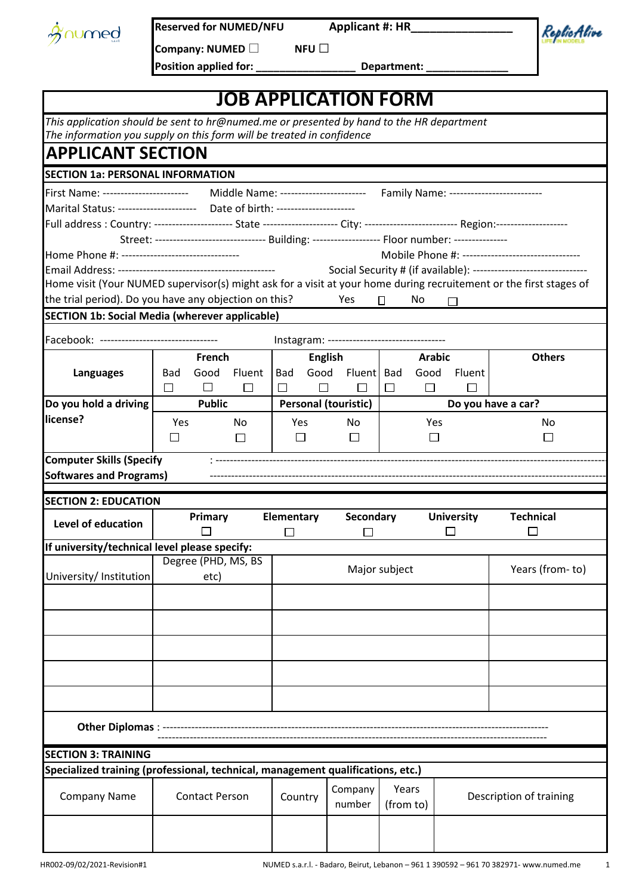|  | <b>M</b> numed |
|--|----------------|
|  |                |

ReplicAlive

**Company: NUMED □ NFU □**  Position applied for: \_\_\_\_\_\_\_\_\_\_\_\_\_\_\_\_\_\_\_\_\_\_\_ Department:

|                                                                                                                                       |        |                       |                |                         |               | <b>JOB APPLICATION FORM</b>                                                                        |           |               |                         |                                                                               |
|---------------------------------------------------------------------------------------------------------------------------------------|--------|-----------------------|----------------|-------------------------|---------------|----------------------------------------------------------------------------------------------------|-----------|---------------|-------------------------|-------------------------------------------------------------------------------|
| This application should be sent to hr@numed.me or presented by hand to the HR department                                              |        |                       |                |                         |               |                                                                                                    |           |               |                         |                                                                               |
| The information you supply on this form will be treated in confidence                                                                 |        |                       |                |                         |               |                                                                                                    |           |               |                         |                                                                               |
| <b>APPLICANT SECTION</b>                                                                                                              |        |                       |                |                         |               |                                                                                                    |           |               |                         |                                                                               |
| <b>SECTION 1a: PERSONAL INFORMATION</b>                                                                                               |        |                       |                |                         |               |                                                                                                    |           |               |                         |                                                                               |
| First Name: ------------------------                                                                                                  |        |                       |                |                         |               |                                                                                                    |           |               |                         | Middle Name: ------------------------ Family Name: -------------------------- |
| Marital Status: ---------------------    Date of birth: ----------------------                                                        |        |                       |                |                         |               |                                                                                                    |           |               |                         |                                                                               |
| Full address: Country: --------------------- State -------------------- City: --------------------------- Region:-------------------- |        |                       |                |                         |               |                                                                                                    |           |               |                         |                                                                               |
|                                                                                                                                       |        |                       |                |                         |               | Street: ------------------------------ Building: ------------------- Floor number: --------------- |           |               |                         |                                                                               |
|                                                                                                                                       |        |                       |                |                         |               |                                                                                                    |           |               |                         | Mobile Phone #: --------------------------------                              |
|                                                                                                                                       |        |                       |                |                         |               |                                                                                                    |           |               |                         | Social Security # (if available): --------------------------------            |
| Home visit (Your NUMED supervisor(s) might ask for a visit at your home during recruitement or the first stages of                    |        |                       |                |                         |               |                                                                                                    |           |               |                         |                                                                               |
| the trial period). Do you have any objection on this?                                                                                 |        |                       |                |                         |               | Yes                                                                                                | 0         | No            |                         |                                                                               |
| <b>SECTION 1b: Social Media (wherever applicable)</b>                                                                                 |        |                       |                |                         |               |                                                                                                    |           |               |                         |                                                                               |
| Facebook: ---------------------------------                                                                                           |        |                       |                |                         |               | Instagram: ---------------------------------                                                       |           |               |                         |                                                                               |
|                                                                                                                                       | French |                       | <b>English</b> |                         | <b>Arabic</b> |                                                                                                    |           | <b>Others</b> |                         |                                                                               |
| <b>Languages</b>                                                                                                                      | Bad    | Good                  | Fluent         | <b>Bad</b>              | Good          | <b>Fluent</b>                                                                                      | Bad       | Good          | Fluent                  |                                                                               |
|                                                                                                                                       | □      | $\Box$                | $\Box$         | П                       | $\Box$        | $\mathsf{L}$                                                                                       | $\Box$    | $\Box$        | $\mathbf{I}$            |                                                                               |
| Do you hold a driving                                                                                                                 |        | <b>Public</b>         |                |                         |               | <b>Personal (touristic)</b>                                                                        |           |               |                         | Do you have a car?                                                            |
| license?                                                                                                                              | Yes    |                       | No             |                         | <b>Yes</b>    | No                                                                                                 |           | Yes           |                         | No                                                                            |
|                                                                                                                                       | ப      |                       | $\Box$         |                         | $\Box$        | $\Box$                                                                                             |           | $\Box$        |                         | $\Box$                                                                        |
| <b>Computer Skills (Specify</b>                                                                                                       |        |                       |                |                         |               |                                                                                                    |           |               |                         |                                                                               |
| <b>Softwares and Programs)</b>                                                                                                        |        |                       |                |                         |               |                                                                                                    |           |               |                         |                                                                               |
| <b>SECTION 2: EDUCATION</b>                                                                                                           |        |                       |                |                         |               |                                                                                                    |           |               |                         |                                                                               |
|                                                                                                                                       |        | Primary               |                | Elementary              |               | Secondary                                                                                          |           |               | <b>University</b>       | <b>Technical</b>                                                              |
| Level of education                                                                                                                    |        |                       |                | $\Box$<br>$\mathcal{L}$ |               |                                                                                                    |           |               |                         |                                                                               |
| If university/technical level please specify:                                                                                         |        |                       |                |                         |               |                                                                                                    |           |               |                         |                                                                               |
|                                                                                                                                       |        | Degree (PHD, MS, BS   |                |                         |               |                                                                                                    |           |               |                         |                                                                               |
| University/ Institution                                                                                                               |        | etc)                  |                |                         |               | Major subject                                                                                      |           |               |                         | Years (from-to)                                                               |
|                                                                                                                                       |        |                       |                |                         |               |                                                                                                    |           |               |                         |                                                                               |
|                                                                                                                                       |        |                       |                |                         |               |                                                                                                    |           |               |                         |                                                                               |
|                                                                                                                                       |        |                       |                |                         |               |                                                                                                    |           |               |                         |                                                                               |
|                                                                                                                                       |        |                       |                |                         |               |                                                                                                    |           |               |                         |                                                                               |
|                                                                                                                                       |        |                       |                |                         |               |                                                                                                    |           |               |                         |                                                                               |
|                                                                                                                                       |        |                       |                |                         |               |                                                                                                    |           |               |                         |                                                                               |
|                                                                                                                                       |        |                       |                |                         |               |                                                                                                    |           |               |                         |                                                                               |
|                                                                                                                                       |        |                       |                |                         |               |                                                                                                    |           |               |                         |                                                                               |
| <b>Other Diplomas:</b>                                                                                                                |        |                       |                |                         |               |                                                                                                    |           |               |                         |                                                                               |
|                                                                                                                                       |        |                       |                |                         |               |                                                                                                    |           |               |                         |                                                                               |
| <b>SECTION 3: TRAINING</b>                                                                                                            |        |                       |                |                         |               |                                                                                                    |           |               |                         |                                                                               |
| Specialized training (professional, technical, management qualifications, etc.)                                                       |        |                       |                |                         |               |                                                                                                    |           |               |                         |                                                                               |
| <b>Company Name</b>                                                                                                                   |        | <b>Contact Person</b> |                | Country                 |               | Company                                                                                            | Years     |               | Description of training |                                                                               |
|                                                                                                                                       |        |                       |                |                         |               | number                                                                                             | (from to) |               |                         |                                                                               |
|                                                                                                                                       |        |                       |                |                         |               |                                                                                                    |           |               |                         |                                                                               |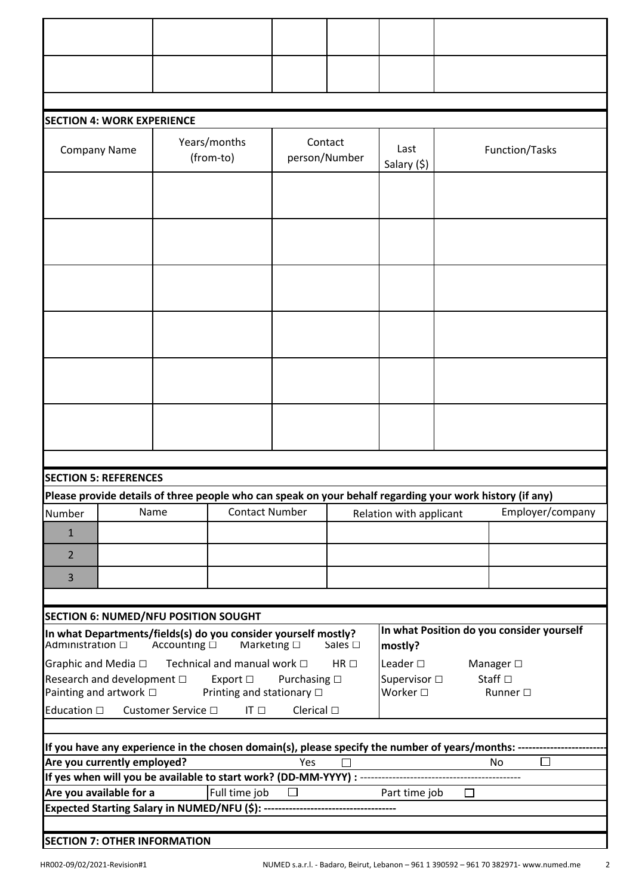|                     | <b>SECTION 4: WORK EXPERIENCE</b>                                 |                         |                                                                |                      |                          |                                       |        |                                                                                                                                     |
|---------------------|-------------------------------------------------------------------|-------------------------|----------------------------------------------------------------|----------------------|--------------------------|---------------------------------------|--------|-------------------------------------------------------------------------------------------------------------------------------------|
|                     | Company Name                                                      |                         | Years/months<br>(from-to)                                      |                      | Contact<br>person/Number | Last<br>Salary (\$)                   |        | Function/Tasks                                                                                                                      |
|                     |                                                                   |                         |                                                                |                      |                          |                                       |        |                                                                                                                                     |
|                     |                                                                   |                         |                                                                |                      |                          |                                       |        |                                                                                                                                     |
|                     |                                                                   |                         |                                                                |                      |                          |                                       |        |                                                                                                                                     |
|                     |                                                                   |                         |                                                                |                      |                          |                                       |        |                                                                                                                                     |
|                     |                                                                   |                         |                                                                |                      |                          |                                       |        |                                                                                                                                     |
|                     |                                                                   |                         |                                                                |                      |                          |                                       |        |                                                                                                                                     |
|                     |                                                                   |                         |                                                                |                      |                          |                                       |        |                                                                                                                                     |
|                     |                                                                   |                         |                                                                |                      |                          |                                       |        |                                                                                                                                     |
|                     |                                                                   |                         |                                                                |                      |                          |                                       |        |                                                                                                                                     |
|                     |                                                                   |                         |                                                                |                      |                          |                                       |        |                                                                                                                                     |
|                     |                                                                   |                         |                                                                |                      |                          |                                       |        |                                                                                                                                     |
|                     |                                                                   |                         |                                                                |                      |                          |                                       |        |                                                                                                                                     |
|                     |                                                                   |                         |                                                                |                      |                          |                                       |        |                                                                                                                                     |
|                     | <b>SECTION 5: REFERENCES</b>                                      |                         |                                                                |                      |                          |                                       |        |                                                                                                                                     |
|                     |                                                                   |                         |                                                                |                      |                          |                                       |        | Please provide details of three people who can speak on your behalf regarding your work history (if any)                            |
| Number              |                                                                   | Name                    | <b>Contact Number</b>                                          |                      |                          | Relation with applicant               |        | Employer/company                                                                                                                    |
| $\mathbf{1}$        |                                                                   |                         |                                                                |                      |                          |                                       |        |                                                                                                                                     |
| $\overline{2}$      |                                                                   |                         |                                                                |                      |                          |                                       |        |                                                                                                                                     |
| 3                   |                                                                   |                         |                                                                |                      |                          |                                       |        |                                                                                                                                     |
|                     | SECTION 6: NUMED/NFU POSITION SOUGHT                              |                         |                                                                |                      |                          |                                       |        |                                                                                                                                     |
|                     |                                                                   |                         | In what Departments/fields(s) do you consider yourself mostly? |                      |                          |                                       |        | In what Position do you consider yourself                                                                                           |
| Administration □    |                                                                   | Accounting $\Box$       | Marketing $\square$                                            |                      | Sales $\square$          | mostly?                               |        |                                                                                                                                     |
|                     | Graphic and Media $\square$<br>Research and development $\square$ |                         | Technical and manual work $\Box$<br>Export $\Box$              | Purchasing $\square$ | $HR \Box$                | Leader $\square$<br>Supervisor $\Box$ |        | Manager $\square$<br>Staff $\square$                                                                                                |
|                     | Painting and artwork □                                            |                         | Printing and stationary □                                      |                      |                          | <b>Worker</b> □                       |        | Runner $\square$                                                                                                                    |
| Education $\square$ |                                                                   | Customer Service $\Box$ | IT $\square$                                                   | Clerical $\square$   |                          |                                       |        |                                                                                                                                     |
|                     |                                                                   |                         |                                                                |                      |                          |                                       |        |                                                                                                                                     |
|                     | Are you currently employed?                                       |                         |                                                                | Yes                  | $\Box$                   |                                       |        | If you have any experience in the chosen domain(s), please specify the number of years/months: -------------<br>$\Box$<br><b>No</b> |
|                     |                                                                   |                         |                                                                |                      |                          |                                       |        |                                                                                                                                     |
|                     | Are you available for a                                           |                         | Full time job                                                  | $\Box$               |                          | Part time job                         | $\Box$ |                                                                                                                                     |
|                     |                                                                   |                         |                                                                |                      |                          |                                       |        |                                                                                                                                     |
|                     |                                                                   |                         |                                                                |                      |                          |                                       |        |                                                                                                                                     |
|                     | <b>SECTION 7: OTHER INFORMATION</b>                               |                         |                                                                |                      |                          |                                       |        |                                                                                                                                     |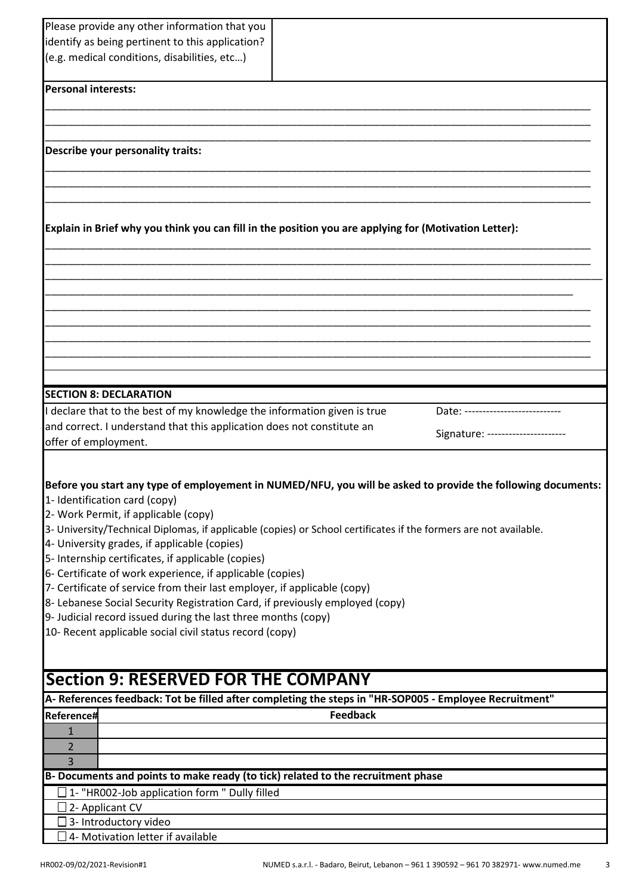|                                   | Please provide any other information that you                                                                     |                 |                                                                                                              |
|-----------------------------------|-------------------------------------------------------------------------------------------------------------------|-----------------|--------------------------------------------------------------------------------------------------------------|
|                                   | identify as being pertinent to this application?                                                                  |                 |                                                                                                              |
|                                   |                                                                                                                   |                 |                                                                                                              |
|                                   | (e.g. medical conditions, disabilities, etc)                                                                      |                 |                                                                                                              |
|                                   |                                                                                                                   |                 |                                                                                                              |
| <b>Personal interests:</b>        |                                                                                                                   |                 |                                                                                                              |
|                                   |                                                                                                                   |                 |                                                                                                              |
|                                   |                                                                                                                   |                 |                                                                                                              |
| Describe your personality traits: |                                                                                                                   |                 |                                                                                                              |
|                                   |                                                                                                                   |                 |                                                                                                              |
|                                   |                                                                                                                   |                 |                                                                                                              |
|                                   |                                                                                                                   |                 |                                                                                                              |
|                                   |                                                                                                                   |                 |                                                                                                              |
|                                   | Explain in Brief why you think you can fill in the position you are applying for (Motivation Letter):             |                 |                                                                                                              |
|                                   |                                                                                                                   |                 |                                                                                                              |
|                                   |                                                                                                                   |                 |                                                                                                              |
|                                   |                                                                                                                   |                 |                                                                                                              |
|                                   |                                                                                                                   |                 |                                                                                                              |
|                                   |                                                                                                                   |                 |                                                                                                              |
|                                   |                                                                                                                   |                 |                                                                                                              |
|                                   |                                                                                                                   |                 |                                                                                                              |
|                                   |                                                                                                                   |                 |                                                                                                              |
|                                   |                                                                                                                   |                 |                                                                                                              |
|                                   |                                                                                                                   |                 |                                                                                                              |
| <b>SECTION 8: DECLARATION</b>     |                                                                                                                   |                 |                                                                                                              |
|                                   | declare that to the best of my knowledge the information given is true                                            |                 | Date: -----------------                                                                                      |
|                                   | and correct. I understand that this application does not constitute an                                            |                 | Signature: ----------------                                                                                  |
| offer of employment.              |                                                                                                                   |                 |                                                                                                              |
|                                   |                                                                                                                   |                 |                                                                                                              |
|                                   |                                                                                                                   |                 |                                                                                                              |
|                                   |                                                                                                                   |                 | Before you start any type of employement in NUMED/NFU, you will be asked to provide the following documents: |
| 1- Identification card (copy)     |                                                                                                                   |                 |                                                                                                              |
|                                   | 2- Work Permit, if applicable (copy)                                                                              |                 |                                                                                                              |
|                                   | 3- University/Technical Diplomas, if applicable (copies) or School certificates if the formers are not available. |                 |                                                                                                              |
|                                   | 4- University grades, if applicable (copies)                                                                      |                 |                                                                                                              |
|                                   | 5- Internship certificates, if applicable (copies)                                                                |                 |                                                                                                              |
|                                   | 6- Certificate of work experience, if applicable (copies)                                                         |                 |                                                                                                              |
|                                   | 7- Certificate of service from their last employer, if applicable (copy)                                          |                 |                                                                                                              |
|                                   | 8- Lebanese Social Security Registration Card, if previously employed (copy)                                      |                 |                                                                                                              |
|                                   | 9- Judicial record issued during the last three months (copy)                                                     |                 |                                                                                                              |
|                                   | 10- Recent applicable social civil status record (copy)                                                           |                 |                                                                                                              |
|                                   |                                                                                                                   |                 |                                                                                                              |
|                                   |                                                                                                                   |                 |                                                                                                              |
|                                   | <b>Section 9: RESERVED FOR THE COMPANY</b>                                                                        |                 |                                                                                                              |
|                                   |                                                                                                                   |                 | A-References feedback: Tot be filled after completing the steps in "HR-SOP005 - Employee Recruitment"        |
|                                   |                                                                                                                   | <b>Feedback</b> |                                                                                                              |
| Reference#                        |                                                                                                                   |                 |                                                                                                              |
| $\mathbf{1}$                      |                                                                                                                   |                 |                                                                                                              |
| $\overline{2}$                    |                                                                                                                   |                 |                                                                                                              |
| 3                                 |                                                                                                                   |                 |                                                                                                              |
|                                   | B- Documents and points to make ready (to tick) related to the recruitment phase                                  |                 |                                                                                                              |
|                                   | $\Box$ 1- "HR002-Job application form " Dully filled                                                              |                 |                                                                                                              |
| $\exists$ 2- Applicant CV         |                                                                                                                   |                 |                                                                                                              |
| 3- Introductory video             |                                                                                                                   |                 |                                                                                                              |
|                                   | 4- Motivation letter if available                                                                                 |                 |                                                                                                              |